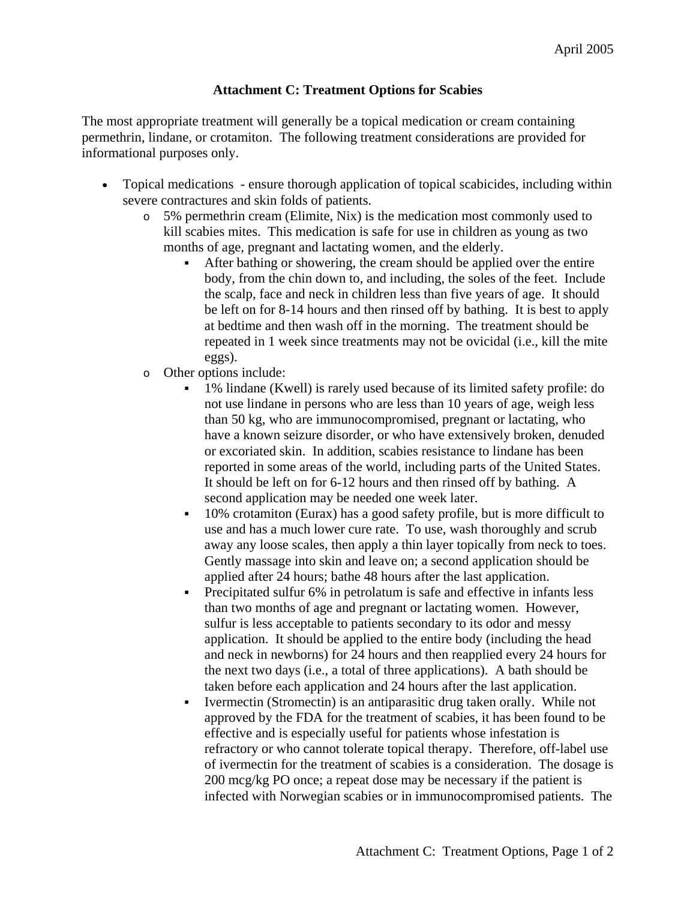## **Attachment C: Treatment Options for Scabies**

The most appropriate treatment will generally be a topical medication or cream containing permethrin, lindane, or crotamiton. The following treatment considerations are provided for informational purposes only.

- Topical medications ensure thorough application of topical scabicides, including within severe contractures and skin folds of patients.
	- o 5% permethrin cream (Elimite, Nix) is the medication most commonly used to kill scabies mites. This medication is safe for use in children as young as two months of age, pregnant and lactating women, and the elderly.
		- After bathing or showering, the cream should be applied over the entire body, from the chin down to, and including, the soles of the feet. Include the scalp, face and neck in children less than five years of age. It should be left on for 8-14 hours and then rinsed off by bathing. It is best to apply at bedtime and then wash off in the morning. The treatment should be repeated in 1 week since treatments may not be ovicidal (i.e., kill the mite eggs).
	- o Other options include:
		- 1% lindane (Kwell) is rarely used because of its limited safety profile: do not use lindane in persons who are less than 10 years of age, weigh less than 50 kg, who are immunocompromised, pregnant or lactating, who have a known seizure disorder, or who have extensively broken, denuded or excoriated skin. In addition, scabies resistance to lindane has been reported in some areas of the world, including parts of the United States. It should be left on for 6-12 hours and then rinsed off by bathing. A second application may be needed one week later.
		- 10% crotamiton (Eurax) has a good safety profile, but is more difficult to use and has a much lower cure rate. To use, wash thoroughly and scrub away any loose scales, then apply a thin layer topically from neck to toes. Gently massage into skin and leave on; a second application should be applied after 24 hours; bathe 48 hours after the last application.
		- Precipitated sulfur 6% in petrolatum is safe and effective in infants less than two months of age and pregnant or lactating women. However, sulfur is less acceptable to patients secondary to its odor and messy application. It should be applied to the entire body (including the head and neck in newborns) for 24 hours and then reapplied every 24 hours for the next two days (i.e., a total of three applications). A bath should be taken before each application and 24 hours after the last application.
		- Ivermectin (Stromectin) is an antiparasitic drug taken orally. While not approved by the FDA for the treatment of scabies, it has been found to be effective and is especially useful for patients whose infestation is refractory or who cannot tolerate topical therapy. Therefore, off-label use of ivermectin for the treatment of scabies is a consideration. The dosage is 200 mcg/kg PO once; a repeat dose may be necessary if the patient is infected with Norwegian scabies or in immunocompromised patients. The